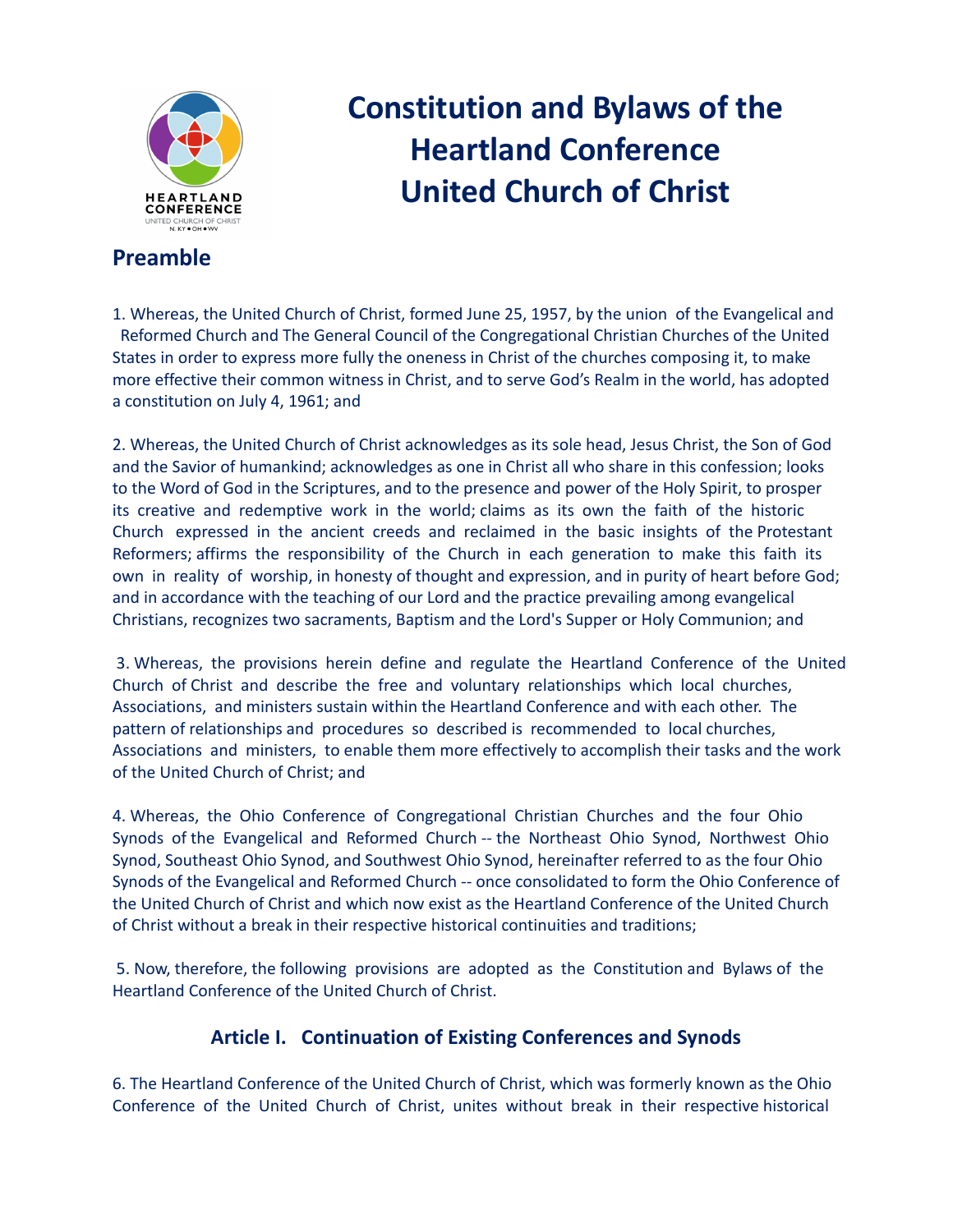

# **Constitution and Bylaws of the Heartland Conference United Church of Christ**

## **Preamble**

1. Whereas, the United Church of Christ, formed June 25, 1957, by the union of the Evangelical and Reformed Church and The General Council of the Congregational Christian Churches of the United States in order to express more fully the oneness in Christ of the churches composing it, to make more effective their common witness in Christ, and to serve God's Realm in the world, has adopted a constitution on July 4, 1961; and

2. Whereas, the United Church of Christ acknowledges as its sole head, Jesus Christ, the Son of God and the Savior of humankind; acknowledges as one in Christ all who share in this confession; looks to the Word of God in the Scriptures, and to the presence and power of the Holy Spirit, to prosper its creative and redemptive work in the world; claims as its own the faith of the historic Church expressed in the ancient creeds and reclaimed in the basic insights of the Protestant Reformers; affirms the responsibility of the Church in each generation to make this faith its own in reality of worship, in honesty of thought and expression, and in purity of heart before God; and in accordance with the teaching of our Lord and the practice prevailing among evangelical Christians, recognizes two sacraments, Baptism and the Lord's Supper or Holy Communion; and

3. Whereas, the provisions herein define and regulate the Heartland Conference of the United Church of Christ and describe the free and voluntary relationships which local churches, Associations, and ministers sustain within the Heartland Conference and with each other. The pattern of relationships and procedures so described is recommended to local churches, Associations and ministers, to enable them more effectively to accomplish their tasks and the work of the United Church of Christ; and

4. Whereas, the Ohio Conference of Congregational Christian Churches and the four Ohio Synods of the Evangelical and Reformed Church -- the Northeast Ohio Synod, Northwest Ohio Synod, Southeast Ohio Synod, and Southwest Ohio Synod, hereinafter referred to as the four Ohio Synods of the Evangelical and Reformed Church -- once consolidated to form the Ohio Conference of the United Church of Christ and which now exist as the Heartland Conference of the United Church of Christ without a break in their respective historical continuities and traditions;

5. Now, therefore, the following provisions are adopted as the Constitution and Bylaws of the Heartland Conference of the United Church of Christ.

## **Article I. Continuation of Existing Conferences and Synods**

6. The Heartland Conference of the United Church of Christ, which was formerly known as the Ohio Conference of the United Church of Christ, unites without break in their respective historical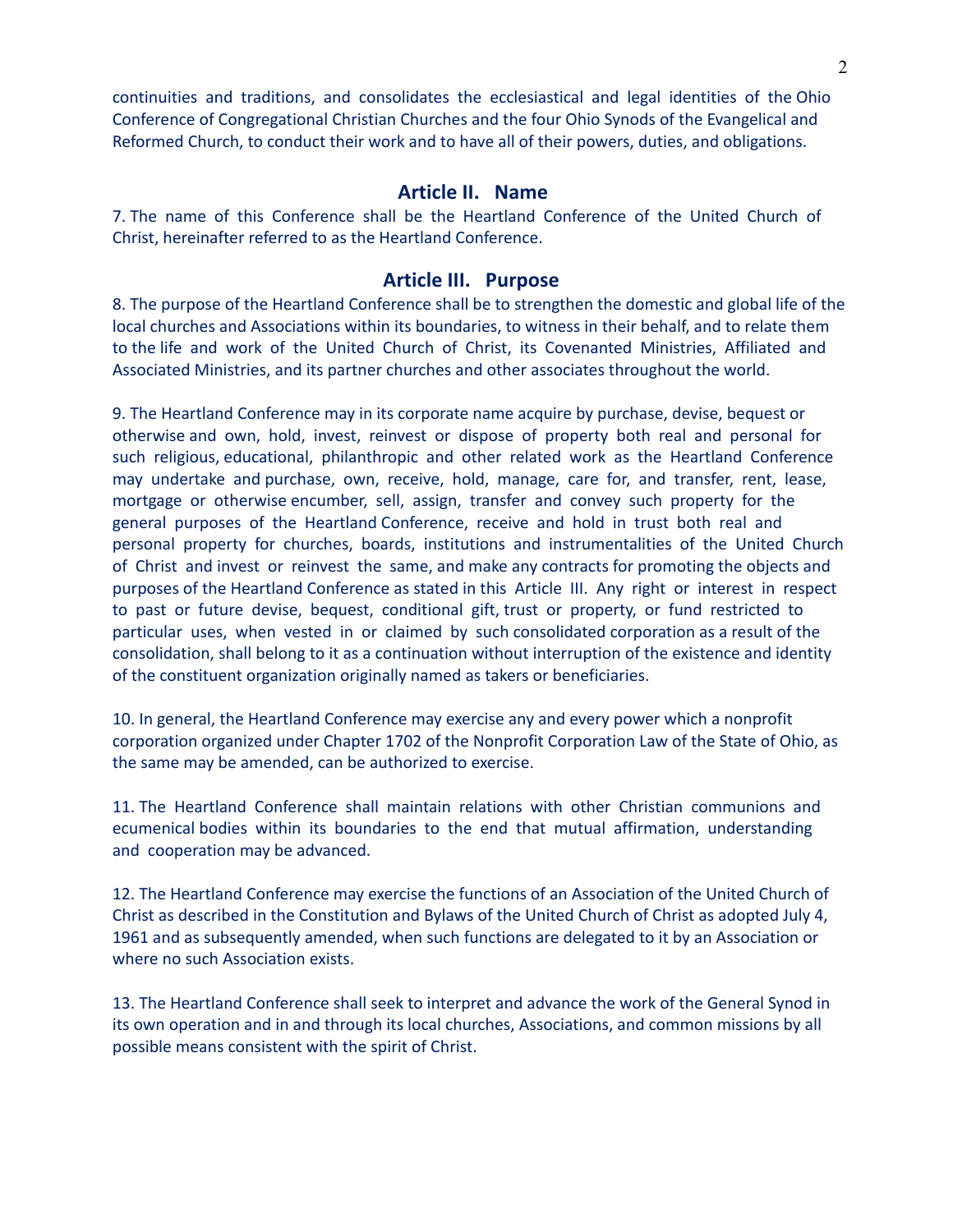continuities and traditions, and consolidates the ecclesiastical and legal identities of the Ohio Conference of Congregational Christian Churches and the four Ohio Synods of the Evangelical and Reformed Church, to conduct their work and to have all of their powers, duties, and obligations.

#### **Article II. Name**

7. The name of this Conference shall be the Heartland Conference of the United Church of Christ, hereinafter referred to as the Heartland Conference.

#### **Article III. Purpose**

8. The purpose of the Heartland Conference shall be to strengthen the domestic and global life of the local churches and Associations within its boundaries, to witness in their behalf, and to relate them to the life and work of the United Church of Christ, its Covenanted Ministries, Affiliated and Associated Ministries, and its partner churches and other associates throughout the world.

9. The Heartland Conference may in its corporate name acquire by purchase, devise, bequest or otherwise and own, hold, invest, reinvest or dispose of property both real and personal for such religious, educational, philanthropic and other related work as the Heartland Conference may undertake and purchase, own, receive, hold, manage, care for, and transfer, rent, lease, mortgage or otherwise encumber, sell, assign, transfer and convey such property for the general purposes of the Heartland Conference, receive and hold in trust both real and personal property for churches, boards, institutions and instrumentalities of the United Church of Christ and invest or reinvest the same, and make any contracts for promoting the objects and purposes of the Heartland Conference as stated in this Article III. Any right or interest in respect to past or future devise, bequest, conditional gift, trust or property, or fund restricted to particular uses, when vested in or claimed by such consolidated corporation as a result of the consolidation, shall belong to it as a continuation without interruption of the existence and identity of the constituent organization originally named as takers or beneficiaries.

10. In general, the Heartland Conference may exercise any and every power which a nonprofit corporation organized under Chapter 1702 of the Nonprofit Corporation Law of the State of Ohio, as the same may be amended, can be authorized to exercise.

11. The Heartland Conference shall maintain relations with other Christian communions and ecumenical bodies within its boundaries to the end that mutual affirmation, understanding and cooperation may be advanced.

12. The Heartland Conference may exercise the functions of an Association of the United Church of Christ as described in the Constitution and Bylaws of the United Church of Christ as adopted July 4, 1961 and as subsequently amended, when such functions are delegated to it by an Association or where no such Association exists.

13. The Heartland Conference shall seek to interpret and advance the work of the General Synod in its own operation and in and through its local churches, Associations, and common missions by all possible means consistent with the spirit of Christ.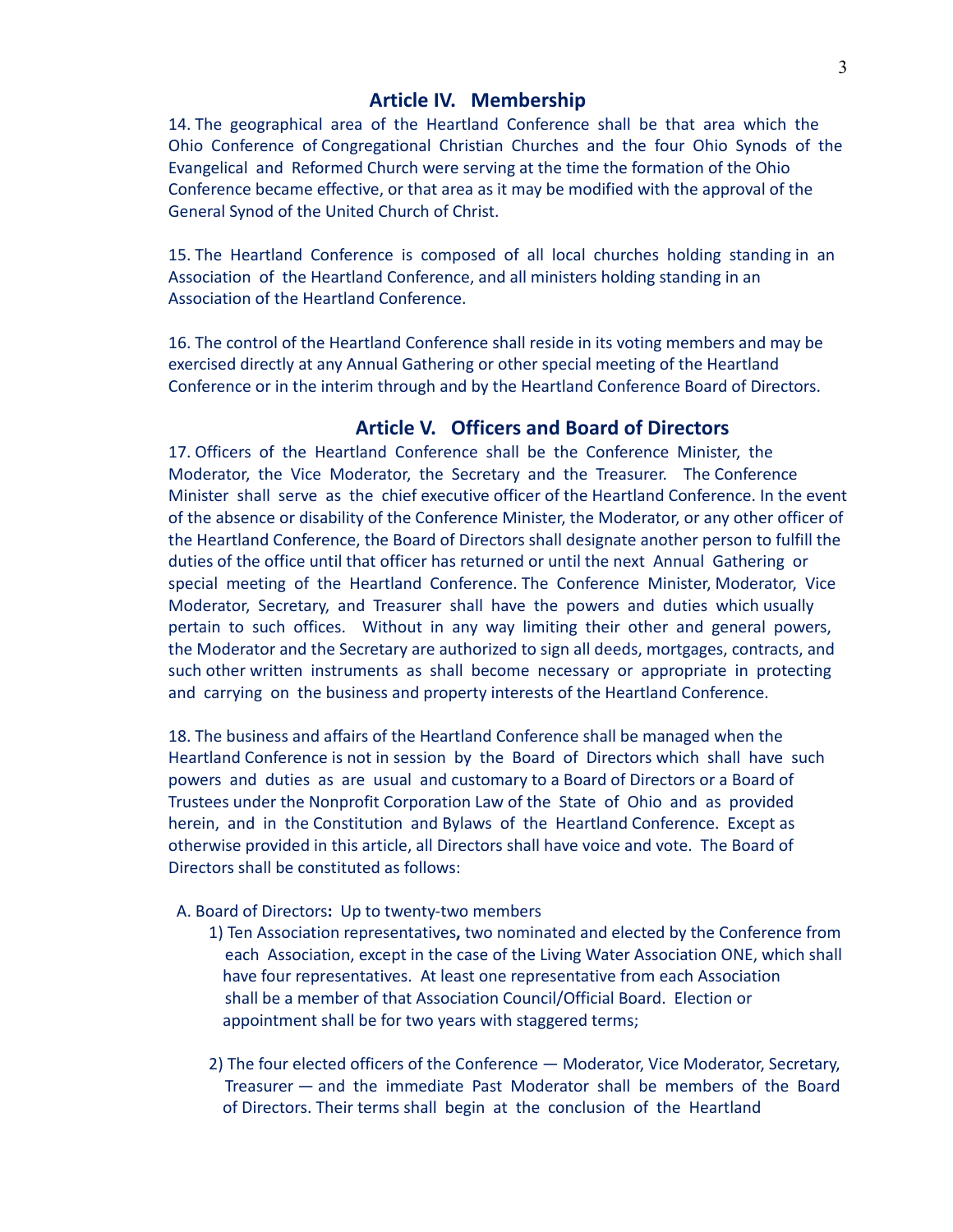#### **Article IV. Membership**

14. The geographical area of the Heartland Conference shall be that area which the Ohio Conference of Congregational Christian Churches and the four Ohio Synods of the Evangelical and Reformed Church were serving at the time the formation of the Ohio Conference became effective, or that area as it may be modified with the approval of the General Synod of the United Church of Christ.

15. The Heartland Conference is composed of all local churches holding standing in an Association of the Heartland Conference, and all ministers holding standing in an Association of the Heartland Conference.

16. The control of the Heartland Conference shall reside in its voting members and may be exercised directly at any Annual Gathering or other special meeting of the Heartland Conference or in the interim through and by the Heartland Conference Board of Directors.

## **Article V. Officers and Board of Directors**

17. Officers of the Heartland Conference shall be the Conference Minister, the Moderator, the Vice Moderator, the Secretary and the Treasurer. The Conference Minister shall serve as the chief executive officer of the Heartland Conference. In the event of the absence or disability of the Conference Minister, the Moderator, or any other officer of the Heartland Conference, the Board of Directors shall designate another person to fulfill the duties of the office until that officer has returned or until the next Annual Gathering or special meeting of the Heartland Conference. The Conference Minister, Moderator, Vice Moderator, Secretary, and Treasurer shall have the powers and duties which usually pertain to such offices. Without in any way limiting their other and general powers, the Moderator and the Secretary are authorized to sign all deeds, mortgages, contracts, and such other written instruments as shall become necessary or appropriate in protecting and carrying on the business and property interests of the Heartland Conference.

18. The business and affairs of the Heartland Conference shall be managed when the Heartland Conference is not in session by the Board of Directors which shall have such powers and duties as are usual and customary to a Board of Directors or a Board of Trustees under the Nonprofit Corporation Law of the State of Ohio and as provided herein, and in the Constitution and Bylaws of the Heartland Conference. Except as otherwise provided in this article, all Directors shall have voice and vote. The Board of Directors shall be constituted as follows:

#### A. Board of Directors**:** Up to twenty-two members

- 1) Ten Association representatives**,** two nominated and elected by the Conference from each Association, except in the case of the Living Water Association ONE, which shall have four representatives. At least one representative from each Association shall be a member of that Association Council/Official Board. Election or appointment shall be for two years with staggered terms;
- 2) The four elected officers of the Conference Moderator, Vice Moderator, Secretary, Treasurer — and the immediate Past Moderator shall be members of the Board of Directors. Their terms shall begin at the conclusion of the Heartland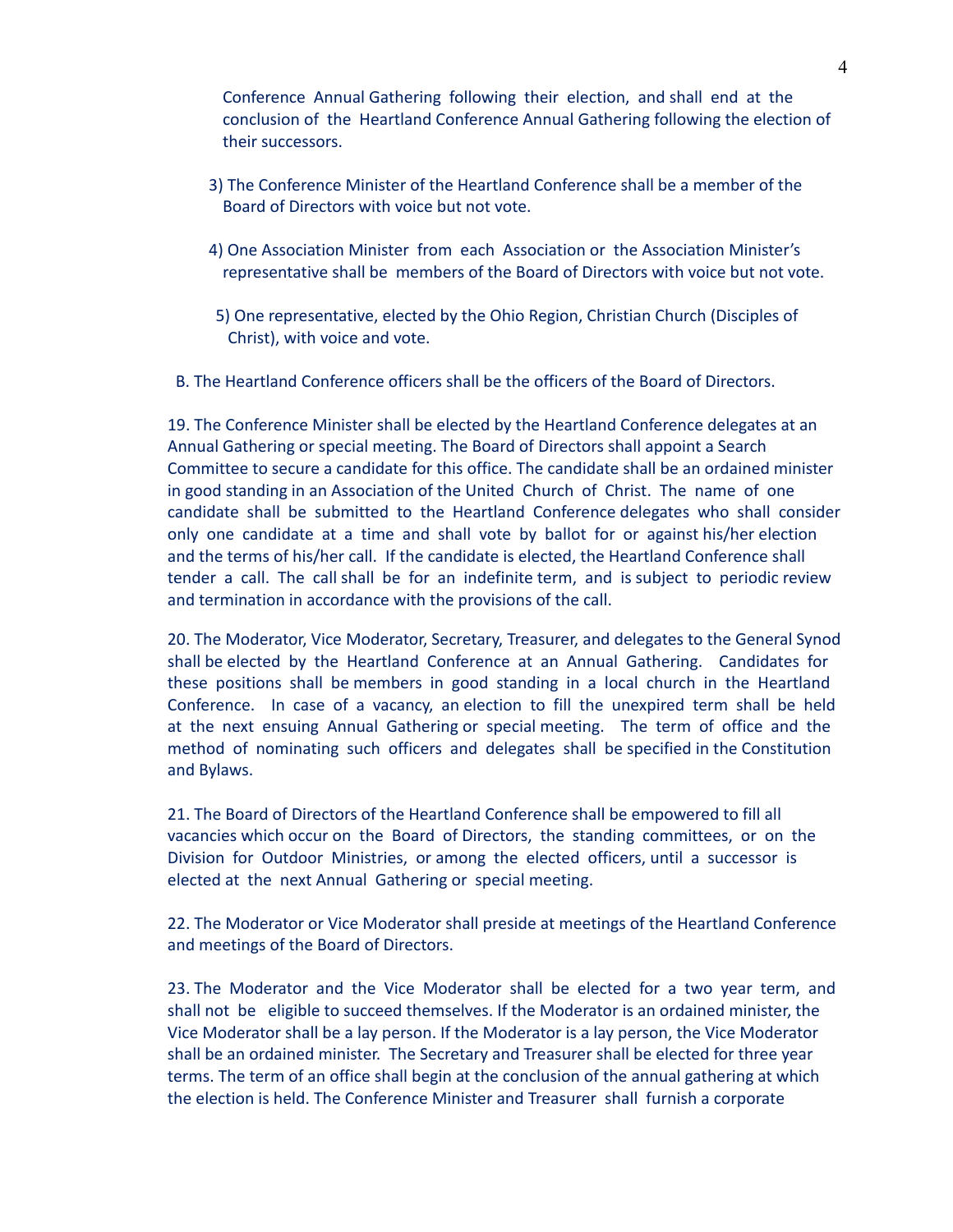Conference Annual Gathering following their election, and shall end at the conclusion of the Heartland Conference Annual Gathering following the election of their successors.

- 3) The Conference Minister of the Heartland Conference shall be a member of the Board of Directors with voice but not vote.
- 4) One Association Minister from each Association or the Association Minister's representative shall be members of the Board of Directors with voice but not vote.
- 5) One representative, elected by the Ohio Region, Christian Church (Disciples of Christ), with voice and vote.
- B. The Heartland Conference officers shall be the officers of the Board of Directors.

19. The Conference Minister shall be elected by the Heartland Conference delegates at an Annual Gathering or special meeting. The Board of Directors shall appoint a Search Committee to secure a candidate for this office. The candidate shall be an ordained minister in good standing in an Association of the United Church of Christ. The name of one candidate shall be submitted to the Heartland Conference delegates who shall consider only one candidate at a time and shall vote by ballot for or against his/her election and the terms of his/her call. If the candidate is elected, the Heartland Conference shall tender a call. The call shall be for an indefinite term, and is subject to periodic review and termination in accordance with the provisions of the call.

20. The Moderator, Vice Moderator, Secretary, Treasurer, and delegates to the General Synod shall be elected by the Heartland Conference at an Annual Gathering. Candidates for these positions shall be members in good standing in a local church in the Heartland Conference. In case of a vacancy, an election to fill the unexpired term shall be held at the next ensuing Annual Gathering or special meeting. The term of office and the method of nominating such officers and delegates shall be specified in the Constitution and Bylaws.

21. The Board of Directors of the Heartland Conference shall be empowered to fill all vacancies which occur on the Board of Directors, the standing committees, or on the Division for Outdoor Ministries, or among the elected officers, until a successor is elected at the next Annual Gathering or special meeting.

22. The Moderator or Vice Moderator shall preside at meetings of the Heartland Conference and meetings of the Board of Directors.

23. The Moderator and the Vice Moderator shall be elected for a two year term, and shall not be eligible to succeed themselves. If the Moderator is an ordained minister, the Vice Moderator shall be a lay person. If the Moderator is a lay person, the Vice Moderator shall be an ordained minister. The Secretary and Treasurer shall be elected for three year terms. The term of an office shall begin at the conclusion of the annual gathering at which the election is held. The Conference Minister and Treasurer shall furnish a corporate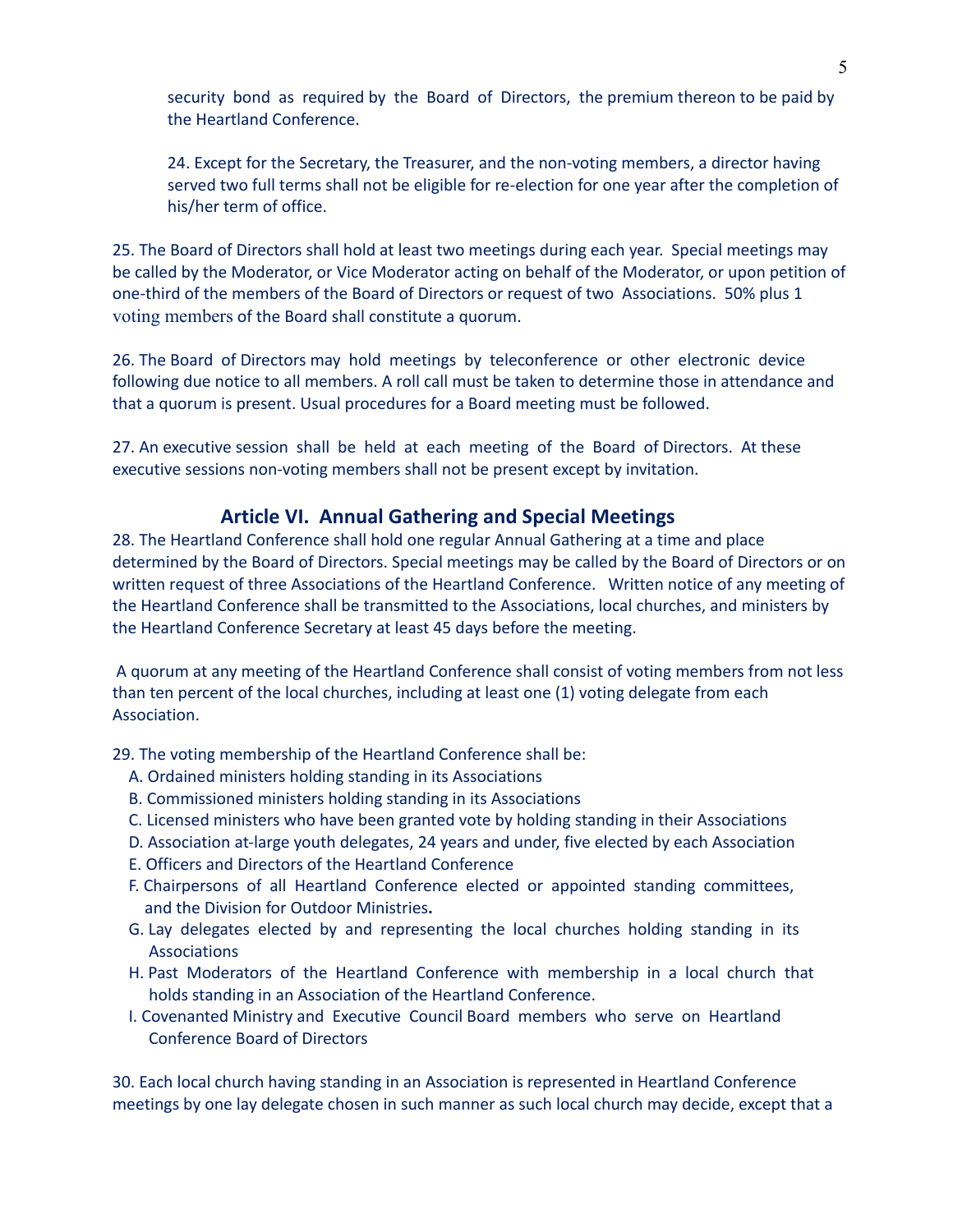security bond as required by the Board of Directors, the premium thereon to be paid by the Heartland Conference.

24. Except for the Secretary, the Treasurer, and the non-voting members, a director having served two full terms shall not be eligible for re-election for one year after the completion of his/her term of office.

25. The Board of Directors shall hold at least two meetings during each year. Special meetings may be called by the Moderator, or Vice Moderator acting on behalf of the Moderator, or upon petition of one-third of the members of the Board of Directors or request of two Associations. 50% plus 1 voting members of the Board shall constitute a quorum.

26. The Board of Directors may hold meetings by teleconference or other electronic device following due notice to all members. A roll call must be taken to determine those in attendance and that a quorum is present. Usual procedures for a Board meeting must be followed.

27. An executive session shall be held at each meeting of the Board of Directors. At these executive sessions non-voting members shall not be present except by invitation.

#### **Article VI. Annual Gathering and Special Meetings**

28. The Heartland Conference shall hold one regular Annual Gathering at a time and place determined by the Board of Directors. Special meetings may be called by the Board of Directors or on written request of three Associations of the Heartland Conference. Written notice of any meeting of the Heartland Conference shall be transmitted to the Associations, local churches, and ministers by the Heartland Conference Secretary at least 45 days before the meeting.

A quorum at any meeting of the Heartland Conference shall consist of voting members from not less than ten percent of the local churches, including at least one (1) voting delegate from each Association.

29. The voting membership of the Heartland Conference shall be:

- A. Ordained ministers holding standing in its Associations
- B. Commissioned ministers holding standing in its Associations
- C. Licensed ministers who have been granted vote by holding standing in their Associations
- D. Association at-large youth delegates, 24 years and under, five elected by each Association
- E. Officers and Directors of the Heartland Conference
- F. Chairpersons of all Heartland Conference elected or appointed standing committees, and the Division for Outdoor Ministries**.**
- G. Lay delegates elected by and representing the local churches holding standing in its Associations
- H. Past Moderators of the Heartland Conference with membership in a local church that holds standing in an Association of the Heartland Conference.
- I. Covenanted Ministry and Executive Council Board members who serve on Heartland Conference Board of Directors

30. Each local church having standing in an Association is represented in Heartland Conference meetings by one lay delegate chosen in such manner as such local church may decide, except that a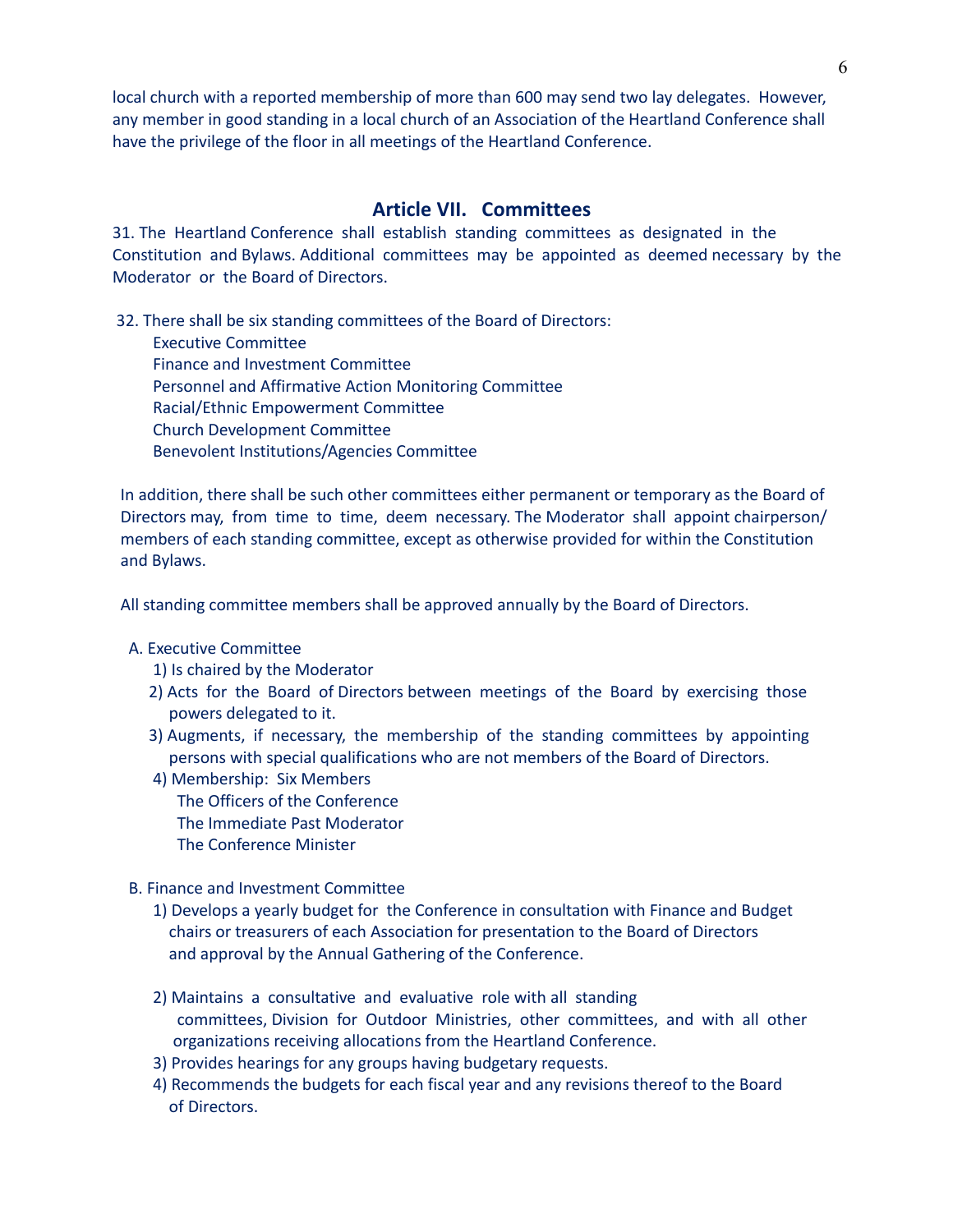local church with a reported membership of more than 600 may send two lay delegates. However, any member in good standing in a local church of an Association of the Heartland Conference shall have the privilege of the floor in all meetings of the Heartland Conference.

#### **Article VII. Committees**

31. The Heartland Conference shall establish standing committees as designated in the Constitution and Bylaws. Additional committees may be appointed as deemed necessary by the Moderator or the Board of Directors.

32. There shall be six standing committees of the Board of Directors: Executive Committee Finance and Investment Committee Personnel and Affirmative Action Monitoring Committee Racial/Ethnic Empowerment Committee Church Development Committee Benevolent Institutions/Agencies Committee

 In addition, there shall be such other committees either permanent or temporary as the Board of Directors may, from time to time, deem necessary. The Moderator shall appoint chairperson/ members of each standing committee, except as otherwise provided for within the Constitution and Bylaws.

All standing committee members shall be approved annually by the Board of Directors.

#### A. Executive Committee

- 1) Is chaired by the Moderator
- 2) Acts for the Board of Directors between meetings of the Board by exercising those powers delegated to it.
- 3) Augments, if necessary, the membership of the standing committees by appointing persons with special qualifications who are not members of the Board of Directors.
- 4) Membership: Six Members The Officers of the Conference
	- The Immediate Past Moderator
	- The Conference Minister
- B. Finance and Investment Committee
	- 1) Develops a yearly budget for the Conference in consultation with Finance and Budget chairs or treasurers of each Association for presentation to the Board of Directors and approval by the Annual Gathering of the Conference.
	- 2) Maintains a consultative and evaluative role with all standing committees, Division for Outdoor Ministries, other committees, and with all other organizations receiving allocations from the Heartland Conference.
	- 3) Provides hearings for any groups having budgetary requests.
	- 4) Recommends the budgets for each fiscal year and any revisions thereof to the Board of Directors.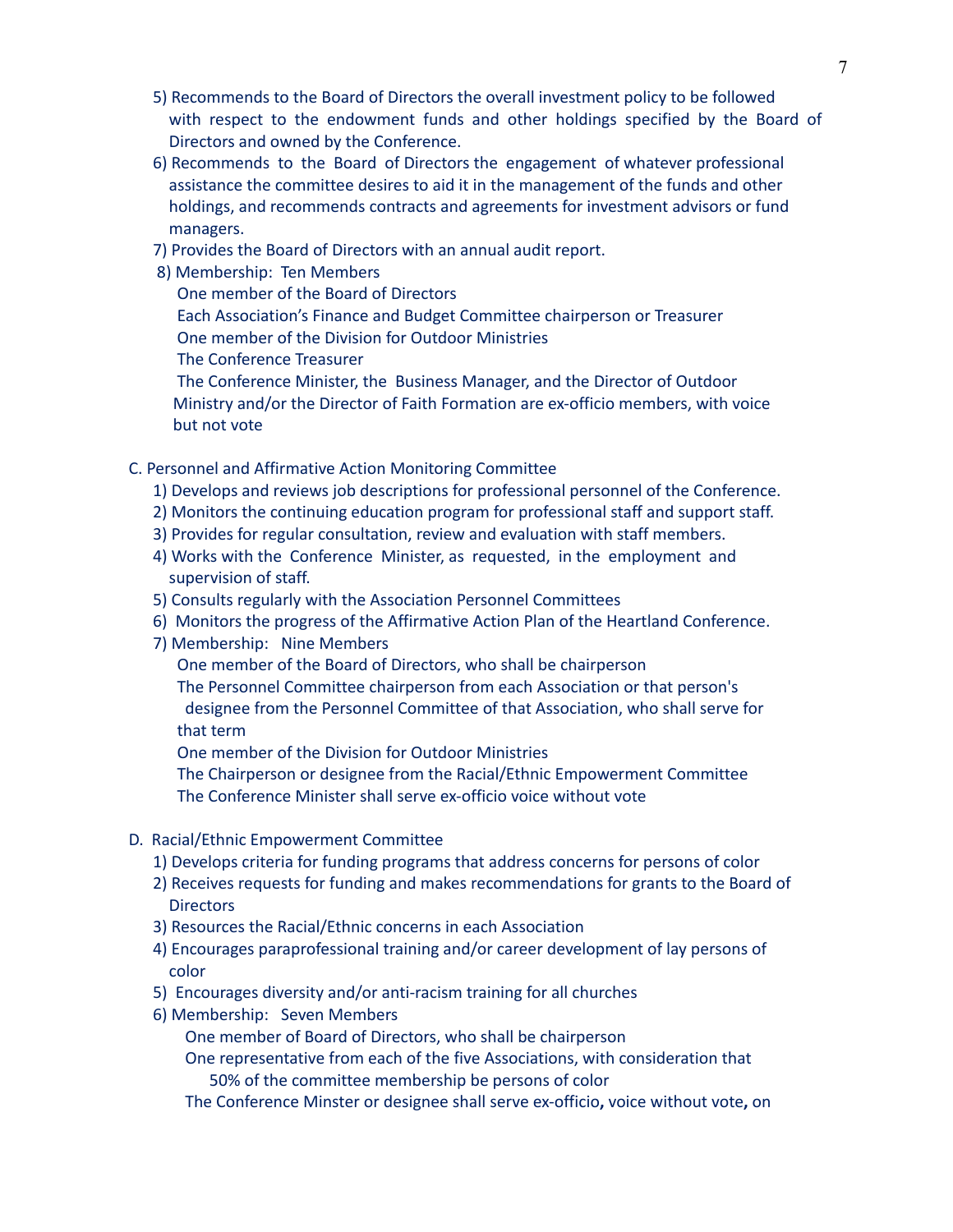- 5) Recommends to the Board of Directors the overall investment policy to be followed with respect to the endowment funds and other holdings specified by the Board of Directors and owned by the Conference.
- 6) Recommends to the Board of Directors the engagement of whatever professional assistance the committee desires to aid it in the management of the funds and other holdings, and recommends contracts and agreements for investment advisors or fund managers.
- 7) Provides the Board of Directors with an annual audit report.
- 8) Membership: Ten Members

One member of the Board of Directors

 Each Association's Finance and Budget Committee chairperson or Treasurer One member of the Division for Outdoor Ministries

The Conference Treasurer

 The Conference Minister, the Business Manager, and the Director of Outdoor Ministry and/or the Director of Faith Formation are ex-officio members, with voice but not vote

- C. Personnel and Affirmative Action Monitoring Committee
	- 1) Develops and reviews job descriptions for professional personnel of the Conference.
	- 2) Monitors the continuing education program for professional staff and support staff.
	- 3) Provides for regular consultation, review and evaluation with staff members.
	- 4) Works with the Conference Minister, as requested, in the employment and supervision of staff.
	- 5) Consults regularly with the Association Personnel Committees
	- 6) Monitors the progress of the Affirmative Action Plan of the Heartland Conference.
	- 7) Membership: Nine Members

One member of the Board of Directors, who shall be chairperson

 The Personnel Committee chairperson from each Association or that person's designee from the Personnel Committee of that Association, who shall serve for that term

One member of the Division for Outdoor Ministries

 The Chairperson or designee from the Racial/Ethnic Empowerment Committee The Conference Minister shall serve ex-officio voice without vote

- D. Racial/Ethnic Empowerment Committee
	- 1) Develops criteria for funding programs that address concerns for persons of color
	- 2) Receives requests for funding and makes recommendations for grants to the Board of **Directors**
	- 3) Resources the Racial/Ethnic concerns in each Association
	- 4) Encourages paraprofessional training and/or career development of lay persons of color
	- 5) Encourages diversity and/or anti-racism training for all churches
	- 6) Membership: Seven Members

One member of Board of Directors, who shall be chairperson

 One representative from each of the five Associations, with consideration that 50% of the committee membership be persons of color

The Conference Minster or designee shall serve ex-officio**,** voice without vote**,** on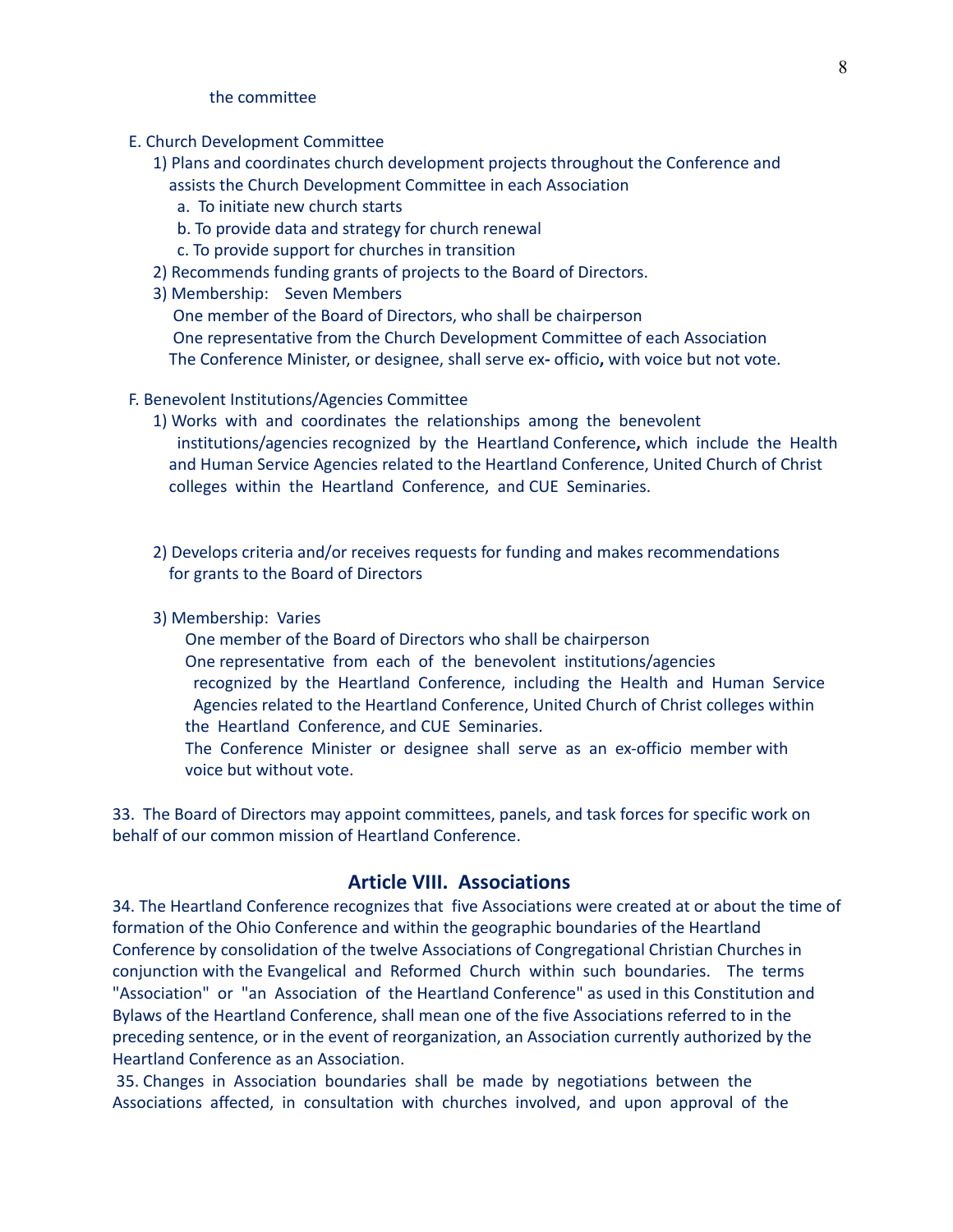#### the committee

- E. Church Development Committee
	- 1) Plans and coordinates church development projects throughout the Conference and assists the Church Development Committee in each Association
		- a. To initiate new church starts
		- b. To provide data and strategy for church renewal
		- c. To provide support for churches in transition
	- 2) Recommends funding grants of projects to the Board of Directors.
	- 3) Membership: Seven Members

 One member of the Board of Directors, who shall be chairperson One representative from the Church Development Committee of each Association The Conference Minister, or designee, shall serve ex**-** officio**,** with voice but not vote.

- F. Benevolent Institutions/Agencies Committee
	- 1) Works with and coordinates the relationships among the benevolent institutions/agencies recognized by the Heartland Conference**,** which include the Health and Human Service Agencies related to the Heartland Conference, United Church of Christ colleges within the Heartland Conference, and CUE Seminaries.
	- 2) Develops criteria and/or receives requests for funding and makes recommendations for grants to the Board of Directors
	- 3) Membership: Varies

One member of the Board of Directors who shall be chairperson

 One representative from each of the benevolent institutions/agencies recognized by the Heartland Conference, including the Health and Human Service Agencies related to the Heartland Conference, United Church of Christ colleges within the Heartland Conference, and CUE Seminaries.

 The Conference Minister or designee shall serve as an ex-officio member with voice but without vote.

33. The Board of Directors may appoint committees, panels, and task forces for specific work on behalf of our common mission of Heartland Conference.

## **Article VIII. Associations**

34. The Heartland Conference recognizes that five Associations were created at or about the time of formation of the Ohio Conference and within the geographic boundaries of the Heartland Conference by consolidation of the twelve Associations of Congregational Christian Churches in conjunction with the Evangelical and Reformed Church within such boundaries. The terms "Association" or "an Association of the Heartland Conference" as used in this Constitution and Bylaws of the Heartland Conference, shall mean one of the five Associations referred to in the preceding sentence, or in the event of reorganization, an Association currently authorized by the Heartland Conference as an Association.

35. Changes in Association boundaries shall be made by negotiations between the Associations affected, in consultation with churches involved, and upon approval of the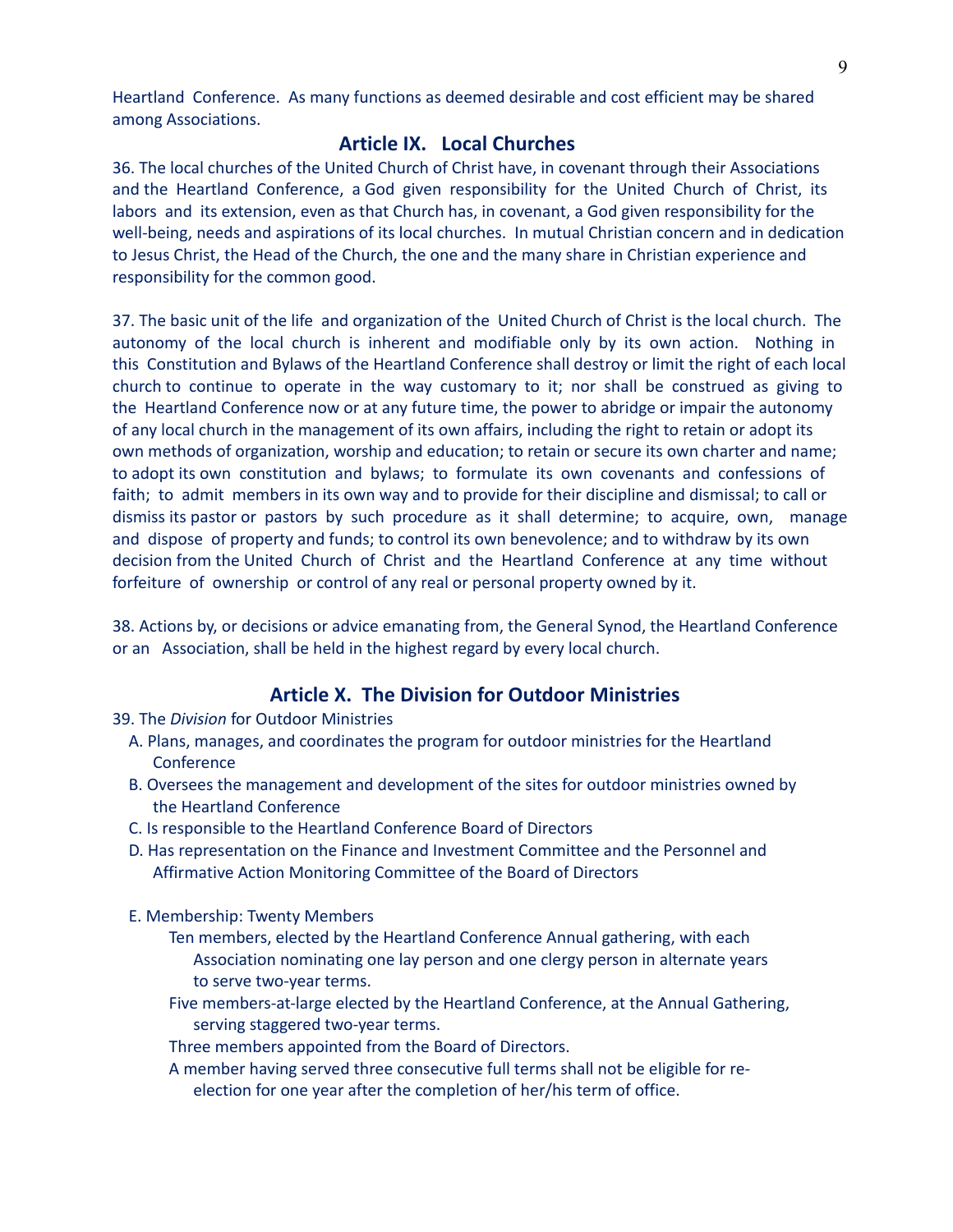Heartland Conference. As many functions as deemed desirable and cost efficient may be shared among Associations.

## **Article IX. Local Churches**

36. The local churches of the United Church of Christ have, in covenant through their Associations and the Heartland Conference, a God given responsibility for the United Church of Christ, its labors and its extension, even as that Church has, in covenant, a God given responsibility for the well-being, needs and aspirations of its local churches. In mutual Christian concern and in dedication to Jesus Christ, the Head of the Church, the one and the many share in Christian experience and responsibility for the common good.

37. The basic unit of the life and organization of the United Church of Christ is the local church. The autonomy of the local church is inherent and modifiable only by its own action. Nothing in this Constitution and Bylaws of the Heartland Conference shall destroy or limit the right of each local church to continue to operate in the way customary to it; nor shall be construed as giving to the Heartland Conference now or at any future time, the power to abridge or impair the autonomy of any local church in the management of its own affairs, including the right to retain or adopt its own methods of organization, worship and education; to retain or secure its own charter and name; to adopt its own constitution and bylaws; to formulate its own covenants and confessions of faith; to admit members in its own way and to provide for their discipline and dismissal; to call or dismiss its pastor or pastors by such procedure as it shall determine; to acquire, own, manage and dispose of property and funds; to control its own benevolence; and to withdraw by its own decision from the United Church of Christ and the Heartland Conference at any time without forfeiture of ownership or control of any real or personal property owned by it.

38. Actions by, or decisions or advice emanating from, the General Synod, the Heartland Conference or an Association, shall be held in the highest regard by every local church.

## **Article X. The Division for Outdoor Ministries**

39. The *Division* for Outdoor Ministries

- A. Plans, manages, and coordinates the program for outdoor ministries for the Heartland **Conference**
- B. Oversees the management and development of the sites for outdoor ministries owned by the Heartland Conference
- C. Is responsible to the Heartland Conference Board of Directors
- D. Has representation on the Finance and Investment Committee and the Personnel and Affirmative Action Monitoring Committee of the Board of Directors
- E. Membership: Twenty Members
	- Ten members, elected by the Heartland Conference Annual gathering, with each Association nominating one lay person and one clergy person in alternate years to serve two-year terms.
	- Five members-at-large elected by the Heartland Conference, at the Annual Gathering, serving staggered two-year terms.
	- Three members appointed from the Board of Directors.
	- A member having served three consecutive full terms shall not be eligible for re
		- election for one year after the completion of her/his term of office.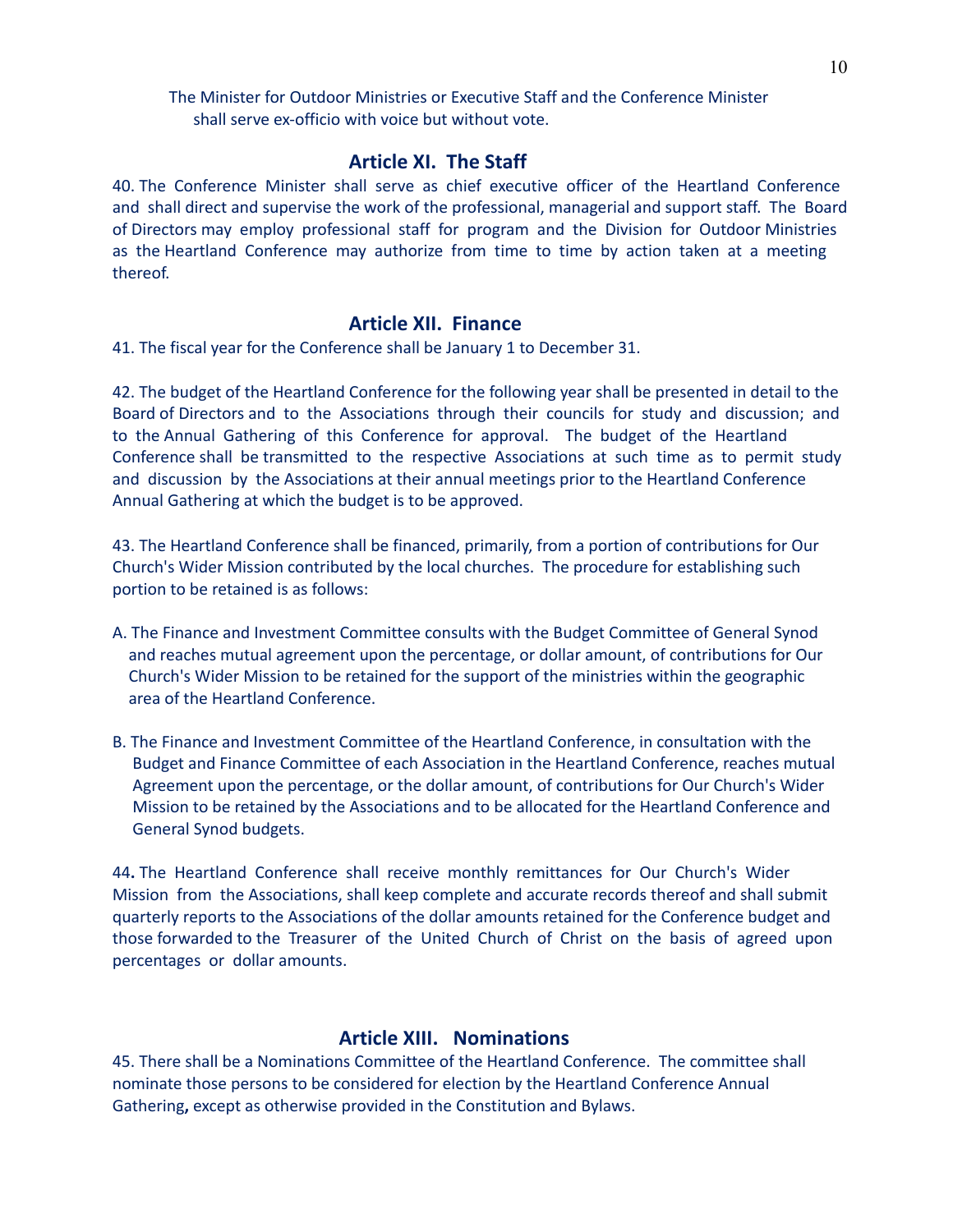The Minister for Outdoor Ministries or Executive Staff and the Conference Minister shall serve ex-officio with voice but without vote.

#### **Article XI. The Staff**

40. The Conference Minister shall serve as chief executive officer of the Heartland Conference and shall direct and supervise the work of the professional, managerial and support staff. The Board of Directors may employ professional staff for program and the Division for Outdoor Ministries as the Heartland Conference may authorize from time to time by action taken at a meeting thereof.

#### **Article XII. Finance**

41. The fiscal year for the Conference shall be January 1 to December 31.

42. The budget of the Heartland Conference for the following year shall be presented in detail to the Board of Directors and to the Associations through their councils for study and discussion; and to the Annual Gathering of this Conference for approval. The budget of the Heartland Conference shall be transmitted to the respective Associations at such time as to permit study and discussion by the Associations at their annual meetings prior to the Heartland Conference Annual Gathering at which the budget is to be approved.

43. The Heartland Conference shall be financed, primarily, from a portion of contributions for Our Church's Wider Mission contributed by the local churches. The procedure for establishing such portion to be retained is as follows:

- A. The Finance and Investment Committee consults with the Budget Committee of General Synod and reaches mutual agreement upon the percentage, or dollar amount, of contributions for Our Church's Wider Mission to be retained for the support of the ministries within the geographic area of the Heartland Conference.
- B. The Finance and Investment Committee of the Heartland Conference, in consultation with the Budget and Finance Committee of each Association in the Heartland Conference, reaches mutual Agreement upon the percentage, or the dollar amount, of contributions for Our Church's Wider Mission to be retained by the Associations and to be allocated for the Heartland Conference and General Synod budgets.

44**.** The Heartland Conference shall receive monthly remittances for Our Church's Wider Mission from the Associations, shall keep complete and accurate records thereof and shall submit quarterly reports to the Associations of the dollar amounts retained for the Conference budget and those forwarded to the Treasurer of the United Church of Christ on the basis of agreed upon percentages or dollar amounts.

## **Article XIII. Nominations**

45. There shall be a Nominations Committee of the Heartland Conference. The committee shall nominate those persons to be considered for election by the Heartland Conference Annual Gathering**,** except as otherwise provided in the Constitution and Bylaws.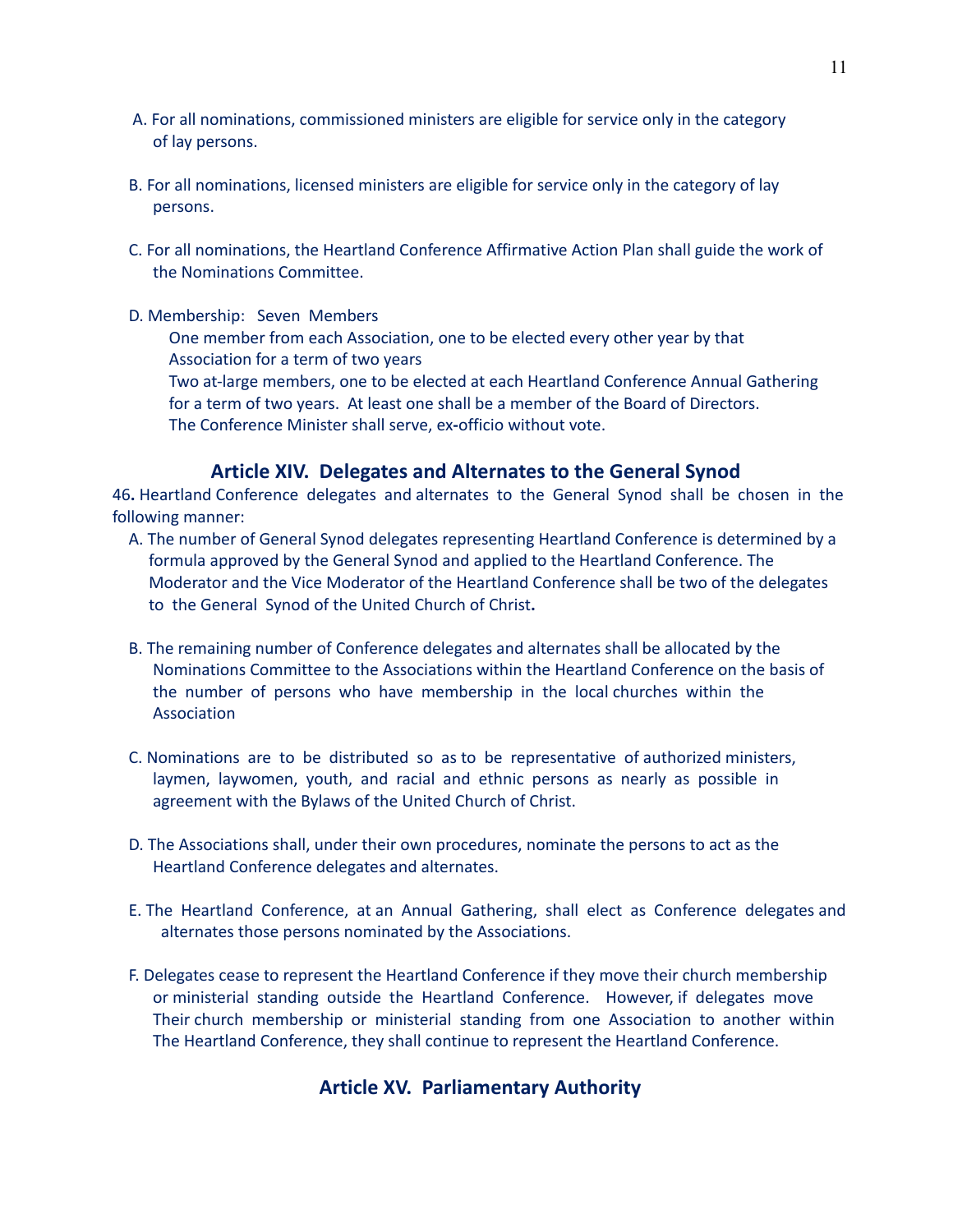- A. For all nominations, commissioned ministers are eligible for service only in the category of lay persons.
- B. For all nominations, licensed ministers are eligible for service only in the category of lay persons.
- C. For all nominations, the Heartland Conference Affirmative Action Plan shall guide the work of the Nominations Committee.

 D. Membership: Seven Members One member from each Association, one to be elected every other year by that Association for a term of two years

 Two at-large members, one to be elected at each Heartland Conference Annual Gathering for a term of two years. At least one shall be a member of the Board of Directors. The Conference Minister shall serve, ex**-**officio without vote.

## **Article XIV. Delegates and Alternates to the General Synod**

46**.** Heartland Conference delegates and alternates to the General Synod shall be chosen in the following manner:

- A. The number of General Synod delegates representing Heartland Conference is determined by a formula approved by the General Synod and applied to the Heartland Conference. The Moderator and the Vice Moderator of the Heartland Conference shall be two of the delegates to the General Synod of the United Church of Christ**.**
- B. The remaining number of Conference delegates and alternates shall be allocated by the Nominations Committee to the Associations within the Heartland Conference on the basis of the number of persons who have membership in the local churches within the Association
- C. Nominations are to be distributed so as to be representative of authorized ministers, laymen, laywomen, youth, and racial and ethnic persons as nearly as possible in agreement with the Bylaws of the United Church of Christ.
- D. The Associations shall, under their own procedures, nominate the persons to act as the Heartland Conference delegates and alternates.
- E. The Heartland Conference, at an Annual Gathering, shall elect as Conference delegates and alternates those persons nominated by the Associations.
- F. Delegates cease to represent the Heartland Conference if they move their church membership or ministerial standing outside the Heartland Conference. However, if delegates move Their church membership or ministerial standing from one Association to another within The Heartland Conference, they shall continue to represent the Heartland Conference.

## **Article XV. Parliamentary Authority**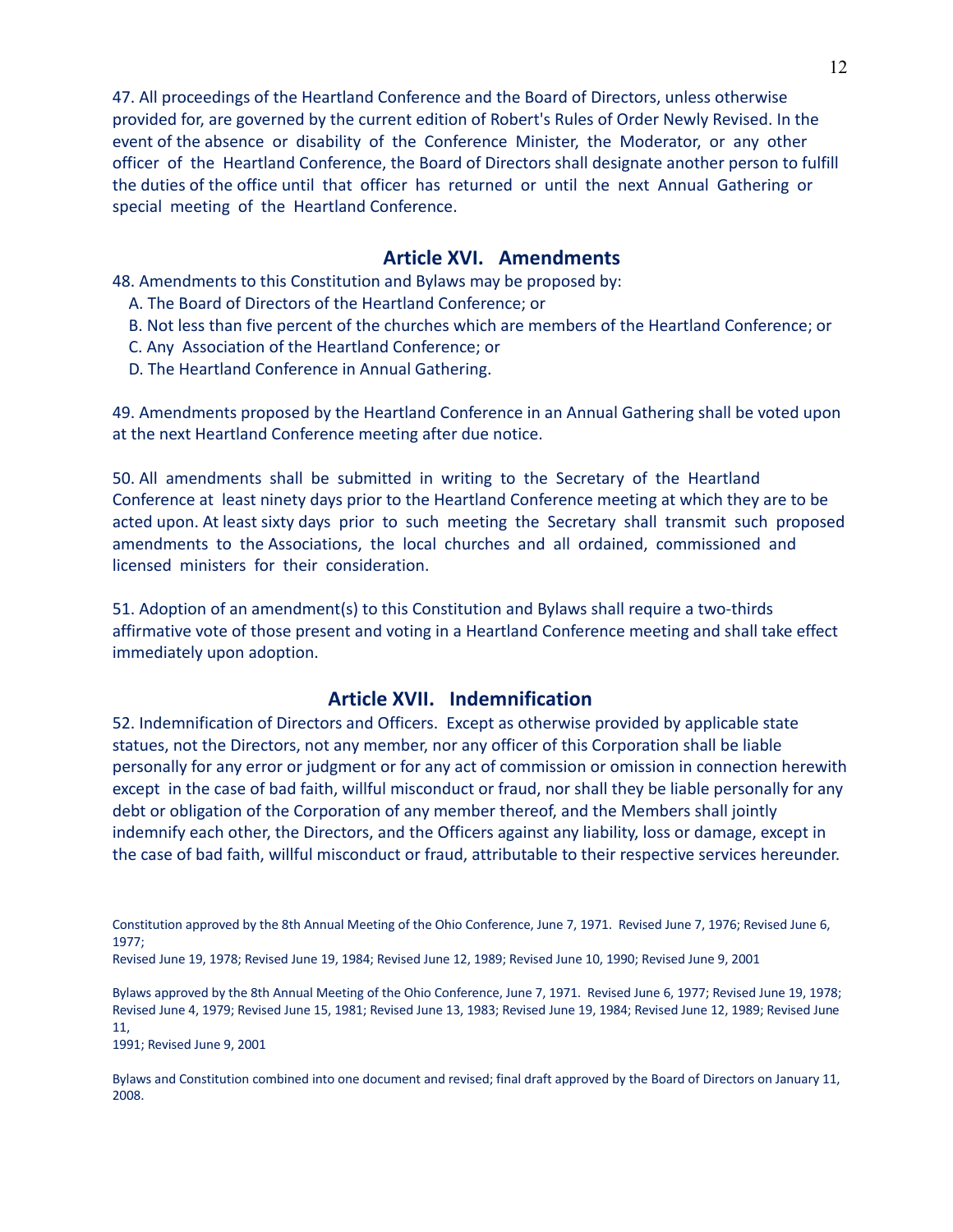47. All proceedings of the Heartland Conference and the Board of Directors, unless otherwise provided for, are governed by the current edition of Robert's Rules of Order Newly Revised. In the event of the absence or disability of the Conference Minister, the Moderator, or any other officer of the Heartland Conference, the Board of Directors shall designate another person to fulfill the duties of the office until that officer has returned or until the next Annual Gathering or special meeting of the Heartland Conference.

#### **Article XVI. Amendments**

48. Amendments to this Constitution and Bylaws may be proposed by:

- A. The Board of Directors of the Heartland Conference; or
- B. Not less than five percent of the churches which are members of the Heartland Conference; or
- C. Any Association of the Heartland Conference; or
- D. The Heartland Conference in Annual Gathering.

49. Amendments proposed by the Heartland Conference in an Annual Gathering shall be voted upon at the next Heartland Conference meeting after due notice.

50. All amendments shall be submitted in writing to the Secretary of the Heartland Conference at least ninety days prior to the Heartland Conference meeting at which they are to be acted upon. At least sixty days prior to such meeting the Secretary shall transmit such proposed amendments to the Associations, the local churches and all ordained, commissioned and licensed ministers for their consideration.

51. Adoption of an amendment(s) to this Constitution and Bylaws shall require a two-thirds affirmative vote of those present and voting in a Heartland Conference meeting and shall take effect immediately upon adoption.

## **Article XVII. Indemnification**

52. Indemnification of Directors and Officers. Except as otherwise provided by applicable state statues, not the Directors, not any member, nor any officer of this Corporation shall be liable personally for any error or judgment or for any act of commission or omission in connection herewith except in the case of bad faith, willful misconduct or fraud, nor shall they be liable personally for any debt or obligation of the Corporation of any member thereof, and the Members shall jointly indemnify each other, the Directors, and the Officers against any liability, loss or damage, except in the case of bad faith, willful misconduct or fraud, attributable to their respective services hereunder.

Bylaws approved by the 8th Annual Meeting of the Ohio Conference, June 7, 1971. Revised June 6, 1977; Revised June 19, 1978; Revised June 4, 1979; Revised June 15, 1981; Revised June 13, 1983; Revised June 19, 1984; Revised June 12, 1989; Revised June 11,

1991; Revised June 9, 2001

Bylaws and Constitution combined into one document and revised; final draft approved by the Board of Directors on January 11, 2008.

Constitution approved by the 8th Annual Meeting of the Ohio Conference, June 7, 1971. Revised June 7, 1976; Revised June 6, 1977;

Revised June 19, 1978; Revised June 19, 1984; Revised June 12, 1989; Revised June 10, 1990; Revised June 9, 2001